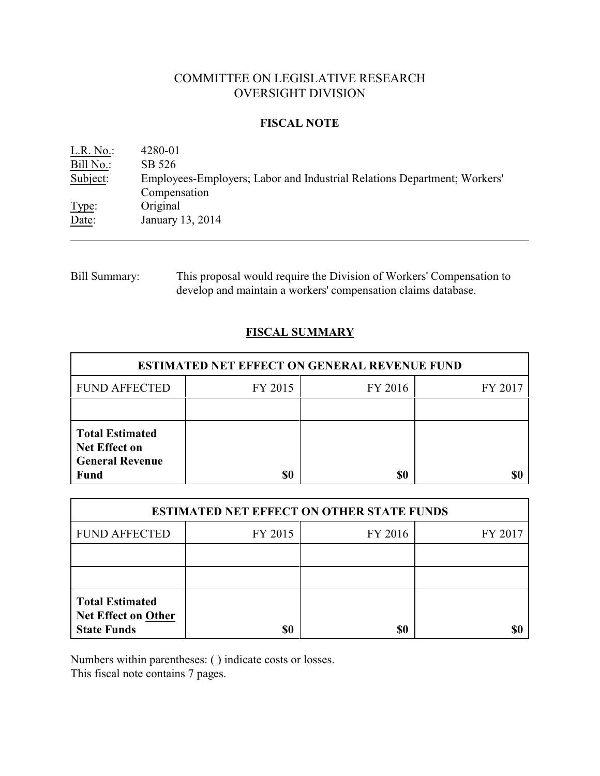# COMMITTEE ON LEGISLATIVE RESEARCH OVERSIGHT DIVISION

### **FISCAL NOTE**

L.R. No.: 4280-01 Bill No.: SB 526 Subject: Employees-Employers; Labor and Industrial Relations Department; Workers' Compensation Type: Original Date: January 13, 2014

Bill Summary: This proposal would require the Division of Workers' Compensation to develop and maintain a workers' compensation claims database.

# **FISCAL SUMMARY**

| <b>ESTIMATED NET EFFECT ON GENERAL REVENUE FUND</b>                                     |         |         |         |  |
|-----------------------------------------------------------------------------------------|---------|---------|---------|--|
| <b>FUND AFFECTED</b>                                                                    | FY 2015 | FY 2016 | FY 2017 |  |
|                                                                                         |         |         |         |  |
| <b>Total Estimated</b><br><b>Net Effect on</b><br><b>General Revenue</b><br><b>Fund</b> | \$0     | \$0     |         |  |

| <b>ESTIMATED NET EFFECT ON OTHER STATE FUNDS</b>                           |         |         |         |  |
|----------------------------------------------------------------------------|---------|---------|---------|--|
| <b>FUND AFFECTED</b>                                                       | FY 2015 | FY 2016 | FY 2017 |  |
|                                                                            |         |         |         |  |
|                                                                            |         |         |         |  |
| <b>Total Estimated</b><br><b>Net Effect on Other</b><br><b>State Funds</b> | \$0     | \$0     |         |  |

Numbers within parentheses: ( ) indicate costs or losses.

This fiscal note contains 7 pages.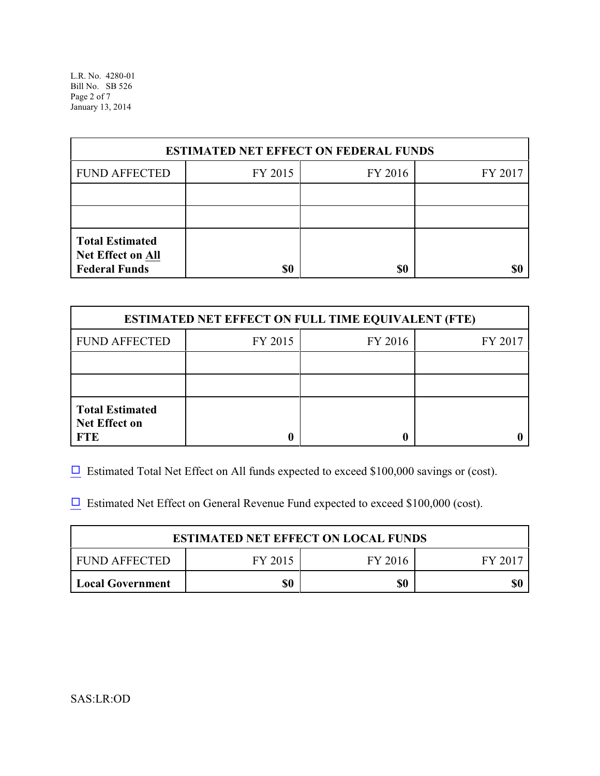L.R. No. 4280-01 Bill No. SB 526 Page 2 of 7 January 13, 2014

| <b>ESTIMATED NET EFFECT ON FEDERAL FUNDS</b>                        |         |         |         |  |
|---------------------------------------------------------------------|---------|---------|---------|--|
| <b>FUND AFFECTED</b>                                                | FY 2015 | FY 2016 | FY 2017 |  |
|                                                                     |         |         |         |  |
|                                                                     |         |         |         |  |
| <b>Total Estimated</b><br>Net Effect on All<br><b>Federal Funds</b> | \$0     | \$0     |         |  |

| <b>ESTIMATED NET EFFECT ON FULL TIME EQUIVALENT (FTE)</b>    |         |                    |  |  |  |
|--------------------------------------------------------------|---------|--------------------|--|--|--|
| <b>FUND AFFECTED</b>                                         | FY 2015 | FY 2016<br>FY 2017 |  |  |  |
|                                                              |         |                    |  |  |  |
|                                                              |         |                    |  |  |  |
| <b>Total Estimated</b><br><b>Net Effect on</b><br><b>FTE</b> |         |                    |  |  |  |

 $\Box$  Estimated Total Net Effect on All funds expected to exceed \$100,000 savings or (cost).

 $\Box$  Estimated Net Effect on General Revenue Fund expected to exceed \$100,000 (cost).

| <b>ESTIMATED NET EFFECT ON LOCAL FUNDS</b> |         |         |        |
|--------------------------------------------|---------|---------|--------|
| FUND AFFECTED                              | FY 2015 | FY 2016 | FY 201 |
| <b>Local Government</b>                    | \$0     | \$0     | \$0    |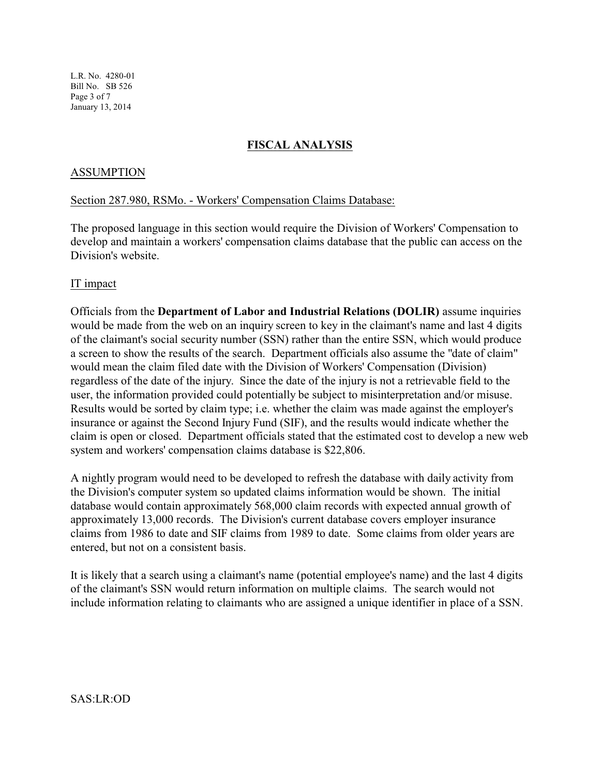L.R. No. 4280-01 Bill No. SB 526 Page 3 of 7 January 13, 2014

## **FISCAL ANALYSIS**

### ASSUMPTION

### Section 287.980, RSMo. - Workers' Compensation Claims Database:

The proposed language in this section would require the Division of Workers' Compensation to develop and maintain a workers' compensation claims database that the public can access on the Division's website.

### IT impact

Officials from the **Department of Labor and Industrial Relations (DOLIR)** assume inquiries would be made from the web on an inquiry screen to key in the claimant's name and last 4 digits of the claimant's social security number (SSN) rather than the entire SSN, which would produce a screen to show the results of the search. Department officials also assume the "date of claim" would mean the claim filed date with the Division of Workers' Compensation (Division) regardless of the date of the injury. Since the date of the injury is not a retrievable field to the user, the information provided could potentially be subject to misinterpretation and/or misuse. Results would be sorted by claim type; i.e. whether the claim was made against the employer's insurance or against the Second Injury Fund (SIF), and the results would indicate whether the claim is open or closed. Department officials stated that the estimated cost to develop a new web system and workers' compensation claims database is \$22,806.

A nightly program would need to be developed to refresh the database with daily activity from the Division's computer system so updated claims information would be shown. The initial database would contain approximately 568,000 claim records with expected annual growth of approximately 13,000 records. The Division's current database covers employer insurance claims from 1986 to date and SIF claims from 1989 to date. Some claims from older years are entered, but not on a consistent basis.

It is likely that a search using a claimant's name (potential employee's name) and the last 4 digits of the claimant's SSN would return information on multiple claims. The search would not include information relating to claimants who are assigned a unique identifier in place of a SSN.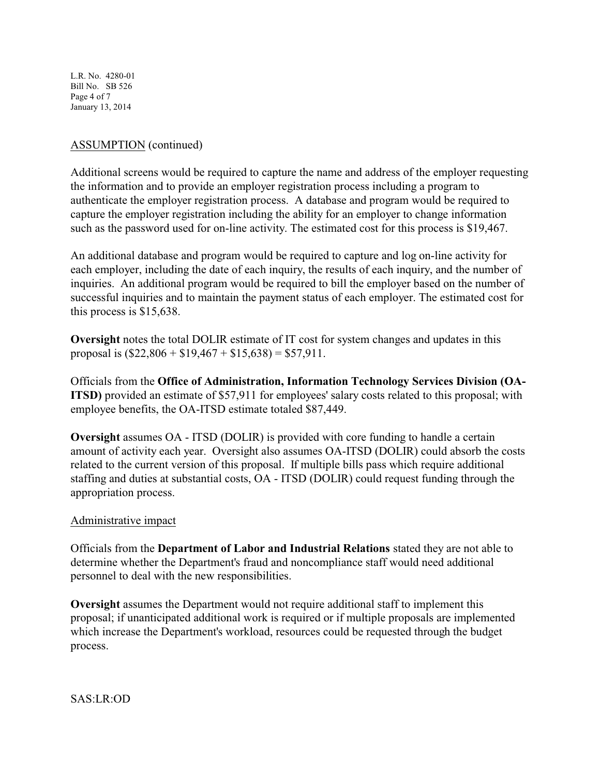L.R. No. 4280-01 Bill No. SB 526 Page 4 of 7 January 13, 2014

# ASSUMPTION (continued)

Additional screens would be required to capture the name and address of the employer requesting the information and to provide an employer registration process including a program to authenticate the employer registration process. A database and program would be required to capture the employer registration including the ability for an employer to change information such as the password used for on-line activity. The estimated cost for this process is \$19,467.

An additional database and program would be required to capture and log on-line activity for each employer, including the date of each inquiry, the results of each inquiry, and the number of inquiries. An additional program would be required to bill the employer based on the number of successful inquiries and to maintain the payment status of each employer. The estimated cost for this process is \$15,638.

**Oversight** notes the total DOLIR estimate of IT cost for system changes and updates in this proposal is  $(\$22,806 + \$19,467 + \$15,638) = \$57,911$ .

Officials from the **Office of Administration, Information Technology Services Division (OA-ITSD**) provided an estimate of \$57,911 for employees' salary costs related to this proposal; with employee benefits, the OA-ITSD estimate totaled \$87,449.

**Oversight** assumes OA - ITSD (DOLIR) is provided with core funding to handle a certain amount of activity each year. Oversight also assumes OA-ITSD (DOLIR) could absorb the costs related to the current version of this proposal. If multiple bills pass which require additional staffing and duties at substantial costs, OA - ITSD (DOLIR) could request funding through the appropriation process.

# Administrative impact

Officials from the **Department of Labor and Industrial Relations** stated they are not able to determine whether the Department's fraud and noncompliance staff would need additional personnel to deal with the new responsibilities.

**Oversight** assumes the Department would not require additional staff to implement this proposal; if unanticipated additional work is required or if multiple proposals are implemented which increase the Department's workload, resources could be requested through the budget process.

SAS:LR:OD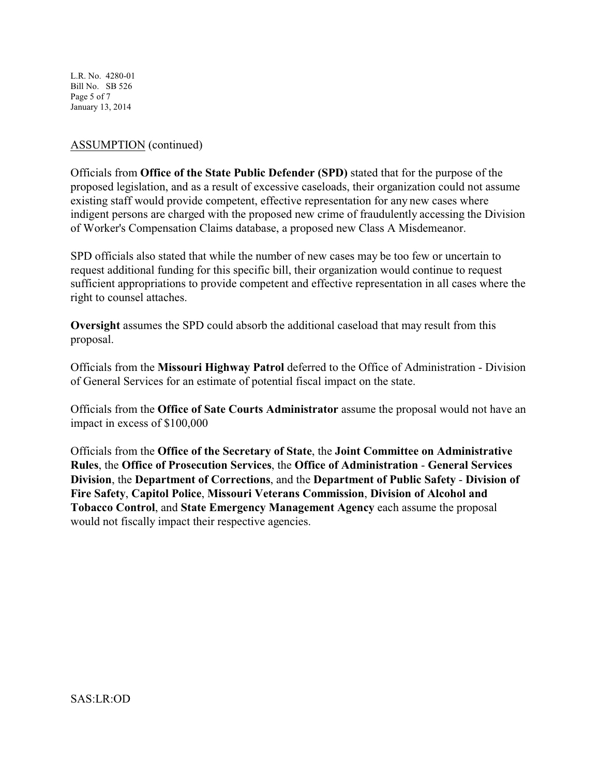L.R. No. 4280-01 Bill No. SB 526 Page 5 of 7 January 13, 2014

## ASSUMPTION (continued)

Officials from **Office of the State Public Defender (SPD)** stated that for the purpose of the proposed legislation, and as a result of excessive caseloads, their organization could not assume existing staff would provide competent, effective representation for any new cases where indigent persons are charged with the proposed new crime of fraudulently accessing the Division of Worker's Compensation Claims database, a proposed new Class A Misdemeanor.

SPD officials also stated that while the number of new cases may be too few or uncertain to request additional funding for this specific bill, their organization would continue to request sufficient appropriations to provide competent and effective representation in all cases where the right to counsel attaches.

**Oversight** assumes the SPD could absorb the additional caseload that may result from this proposal.

Officials from the **Missouri Highway Patrol** deferred to the Office of Administration - Division of General Services for an estimate of potential fiscal impact on the state.

Officials from the **Office of Sate Courts Administrator** assume the proposal would not have an impact in excess of \$100,000

Officials from the **Office of the Secretary of State**, the **Joint Committee on Administrative Rules**, the **Office of Prosecution Services**, the **Office of Administration** - **General Services Division**, the **Department of Corrections**, and the **Department of Public Safety** - **Division of Fire Safety**, **Capitol Police**, **Missouri Veterans Commission**, **Division of Alcohol and Tobacco Control**, and **State Emergency Management Agency** each assume the proposal would not fiscally impact their respective agencies.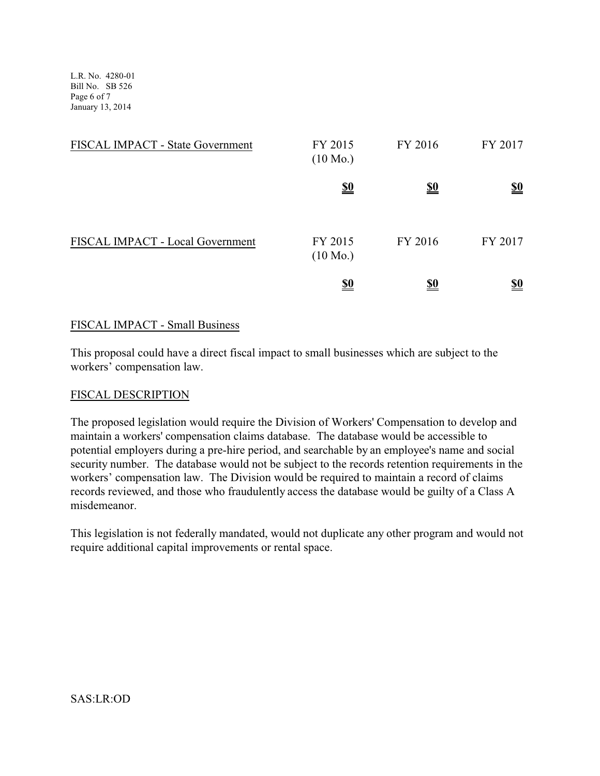L.R. No. 4280-01 Bill No. SB 526 Page 6 of 7 January 13, 2014

| FISCAL IMPACT - State Government | FY 2015<br>$(10 \text{ Mo.})$ | FY 2016    | FY 2017    |
|----------------------------------|-------------------------------|------------|------------|
|                                  | <u>\$0</u>                    | <u>\$0</u> | <u>\$0</u> |
| FISCAL IMPACT - Local Government | FY 2015<br>$(10 \text{ Mo.})$ | FY 2016    | FY 2017    |
|                                  | <u>\$0</u>                    | <u>\$0</u> | <u>\$0</u> |

### FISCAL IMPACT - Small Business

This proposal could have a direct fiscal impact to small businesses which are subject to the workers' compensation law.

### FISCAL DESCRIPTION

The proposed legislation would require the Division of Workers' Compensation to develop and maintain a workers' compensation claims database. The database would be accessible to potential employers during a pre-hire period, and searchable by an employee's name and social security number. The database would not be subject to the records retention requirements in the workers' compensation law. The Division would be required to maintain a record of claims records reviewed, and those who fraudulently access the database would be guilty of a Class A misdemeanor.

This legislation is not federally mandated, would not duplicate any other program and would not require additional capital improvements or rental space.